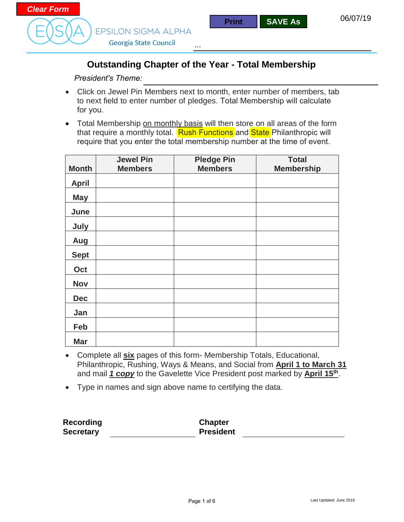



Georgia State Council

### **Outstanding Chapter of the Year - Total Membership**

...

*President's Theme:* 

- Click on Jewel Pin Members next to month, enter number of members, tab to next field to enter number of pledges. Total Membership will calculate for you.
- Total Membership on monthly basis will then store on all areas of the form that require a monthly total. Rush Functions and State Philanthropic will require that you enter the total membership number at the time of event.

|              | <b>Jewel Pin</b> | <b>Pledge Pin</b> | <b>Total</b>      |
|--------------|------------------|-------------------|-------------------|
| <b>Month</b> | <b>Members</b>   | <b>Members</b>    | <b>Membership</b> |
| <b>April</b> |                  |                   |                   |
| <b>May</b>   |                  |                   |                   |
| June         |                  |                   |                   |
| July         |                  |                   |                   |
| Aug          |                  |                   |                   |
| <b>Sept</b>  |                  |                   |                   |
| Oct          |                  |                   |                   |
| <b>Nov</b>   |                  |                   |                   |
| <b>Dec</b>   |                  |                   |                   |
| Jan          |                  |                   |                   |
| Feb          |                  |                   |                   |
| <b>Mar</b>   |                  |                   |                   |

- Complete all **six** pages of this form- Membership Totals, Educational, Philanthropic, Rushing, Ways & Means, and Social from **April 1 to March 31** and mail *1 copy* to the Gavelette Vice President post marked by **April 15th**.
- Type in names and sign above name to certifying the data.

**Recording Secretary**

**Chapter President**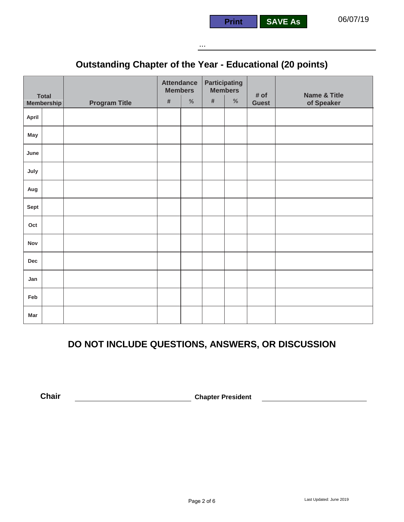

...

**Print SAVE As**

## **Outstanding Chapter of the Year - Educational (20 points)**

|       |                                   |                      | <b>Attendance</b><br><b>Members</b> |      | <b>Participating</b> | <b>Members</b> |                      |                                       |
|-------|-----------------------------------|----------------------|-------------------------------------|------|----------------------|----------------|----------------------|---------------------------------------|
|       | <b>Total</b><br><b>Membership</b> | <b>Program Title</b> | $\#$                                | $\%$ | $\#$                 | $\%$           | # of<br><b>Guest</b> | <b>Name &amp; Title</b><br>of Speaker |
| April |                                   |                      |                                     |      |                      |                |                      |                                       |
| May   |                                   |                      |                                     |      |                      |                |                      |                                       |
| June  |                                   |                      |                                     |      |                      |                |                      |                                       |
| July  |                                   |                      |                                     |      |                      |                |                      |                                       |
| Aug   |                                   |                      |                                     |      |                      |                |                      |                                       |
| Sept  |                                   |                      |                                     |      |                      |                |                      |                                       |
| Oct   |                                   |                      |                                     |      |                      |                |                      |                                       |
| Nov   |                                   |                      |                                     |      |                      |                |                      |                                       |
| Dec   |                                   |                      |                                     |      |                      |                |                      |                                       |
| Jan   |                                   |                      |                                     |      |                      |                |                      |                                       |
| Feb   |                                   |                      |                                     |      |                      |                |                      |                                       |
| Mar   |                                   |                      |                                     |      |                      |                |                      |                                       |

### **DO NOT INCLUDE QUESTIONS, ANSWERS, OR DISCUSSION**

**Chair Chair Chapter President**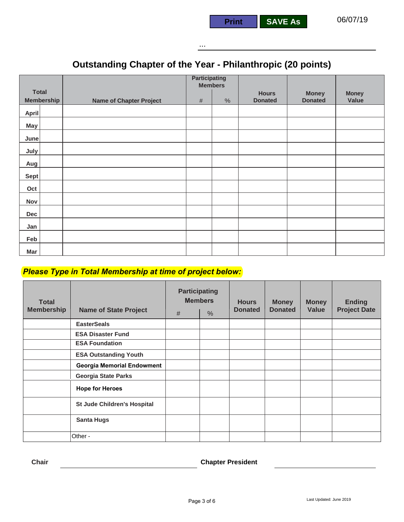#### ...

## **Outstanding Chapter of the Year - Philanthropic (20 points)**

|                   |                                | <b>Participating</b><br><b>Members</b> |      |                |                |              |
|-------------------|--------------------------------|----------------------------------------|------|----------------|----------------|--------------|
| <b>Total</b>      |                                |                                        |      | <b>Hours</b>   | <b>Money</b>   | <b>Money</b> |
| <b>Membership</b> | <b>Name of Chapter Project</b> | $\#$                                   | $\%$ | <b>Donated</b> | <b>Donated</b> | Value        |
| April             |                                |                                        |      |                |                |              |
| May               |                                |                                        |      |                |                |              |
| June              |                                |                                        |      |                |                |              |
| July              |                                |                                        |      |                |                |              |
| Aug               |                                |                                        |      |                |                |              |
| <b>Sept</b>       |                                |                                        |      |                |                |              |
| Oct               |                                |                                        |      |                |                |              |
| Nov               |                                |                                        |      |                |                |              |
| Dec               |                                |                                        |      |                |                |              |
| Jan               |                                |                                        |      |                |                |              |
| Feb               |                                |                                        |      |                |                |              |
| Mar               |                                |                                        |      |                |                |              |

#### *Please Type in Total Membership at time of project below:*

| <b>Total</b><br><b>Membership</b> | <b>Name of State Project</b>      | <b>Participating</b><br><b>Members</b><br>#<br>$\%$ |  | <b>Hours</b><br><b>Donated</b> | <b>Money</b><br><b>Donated</b> | <b>Money</b><br>Value | <b>Ending</b><br><b>Project Date</b> |
|-----------------------------------|-----------------------------------|-----------------------------------------------------|--|--------------------------------|--------------------------------|-----------------------|--------------------------------------|
|                                   | <b>EasterSeals</b>                |                                                     |  |                                |                                |                       |                                      |
|                                   | <b>ESA Disaster Fund</b>          |                                                     |  |                                |                                |                       |                                      |
|                                   | <b>ESA Foundation</b>             |                                                     |  |                                |                                |                       |                                      |
|                                   | <b>ESA Outstanding Youth</b>      |                                                     |  |                                |                                |                       |                                      |
|                                   | <b>Georgia Memorial Endowment</b> |                                                     |  |                                |                                |                       |                                      |
|                                   | <b>Georgia State Parks</b>        |                                                     |  |                                |                                |                       |                                      |
|                                   | <b>Hope for Heroes</b>            |                                                     |  |                                |                                |                       |                                      |
|                                   | St Jude Children's Hospital       |                                                     |  |                                |                                |                       |                                      |
|                                   | <b>Santa Hugs</b>                 |                                                     |  |                                |                                |                       |                                      |
|                                   | Other -                           |                                                     |  |                                |                                |                       |                                      |

**Chair Chapter President**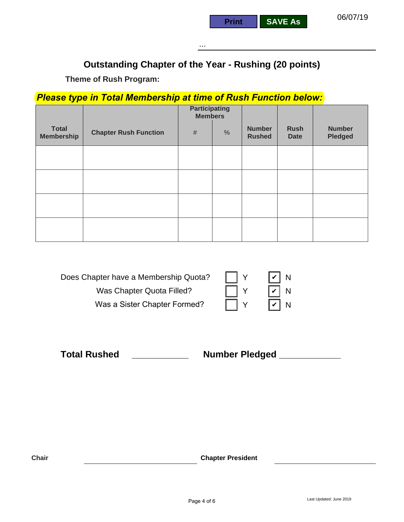...

**Print SAVE As**

### **Outstanding Chapter of the Year - Rushing (20 points)**

**Theme of Rush Program:**

#### *Please type in Total Membership at time of Rush Function below:*

|                                   |                              | <b>Participating</b><br><b>Members</b> |      |                                |                            |                                 |
|-----------------------------------|------------------------------|----------------------------------------|------|--------------------------------|----------------------------|---------------------------------|
| <b>Total</b><br><b>Membership</b> | <b>Chapter Rush Function</b> | $\#$                                   | $\%$ | <b>Number</b><br><b>Rushed</b> | <b>Rush</b><br><b>Date</b> | <b>Number</b><br><b>Pledged</b> |
|                                   |                              |                                        |      |                                |                            |                                 |
|                                   |                              |                                        |      |                                |                            |                                 |
|                                   |                              |                                        |      |                                |                            |                                 |
|                                   |                              |                                        |      |                                |                            |                                 |

| Does Chapter have a Membership Quota? | $ v $ N |  |
|---------------------------------------|---------|--|
| Was Chapter Quota Filled?             | $ v $ N |  |
| Was a Sister Chapter Formed?          | $ v $ N |  |

**Total Rushed \_\_\_\_\_\_\_\_\_\_\_ Number Pledged \_\_\_\_\_\_\_\_\_\_\_\_**

**Chair Chapter President**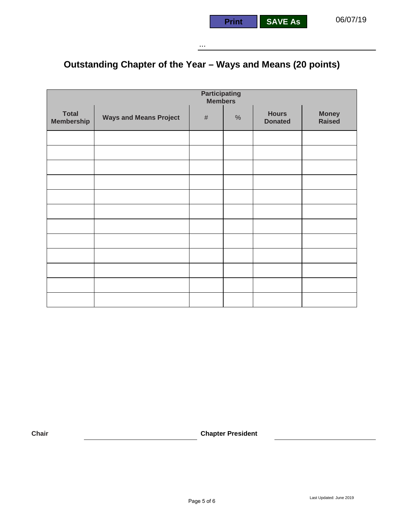# **Outstanding Chapter of the Year – Ways and Means (20 points)**

|                                   | <b>Participating</b><br><b>Members</b> |      |      |                                |                               |  |  |  |  |
|-----------------------------------|----------------------------------------|------|------|--------------------------------|-------------------------------|--|--|--|--|
| <b>Total</b><br><b>Membership</b> | <b>Ways and Means Project</b>          | $\#$ | $\%$ | <b>Hours</b><br><b>Donated</b> | <b>Money</b><br><b>Raised</b> |  |  |  |  |
|                                   |                                        |      |      |                                |                               |  |  |  |  |
|                                   |                                        |      |      |                                |                               |  |  |  |  |
|                                   |                                        |      |      |                                |                               |  |  |  |  |
|                                   |                                        |      |      |                                |                               |  |  |  |  |
|                                   |                                        |      |      |                                |                               |  |  |  |  |
|                                   |                                        |      |      |                                |                               |  |  |  |  |
|                                   |                                        |      |      |                                |                               |  |  |  |  |
|                                   |                                        |      |      |                                |                               |  |  |  |  |
|                                   |                                        |      |      |                                |                               |  |  |  |  |
|                                   |                                        |      |      |                                |                               |  |  |  |  |
|                                   |                                        |      |      |                                |                               |  |  |  |  |
|                                   |                                        |      |      |                                |                               |  |  |  |  |

**Chair Chair Chapter President**